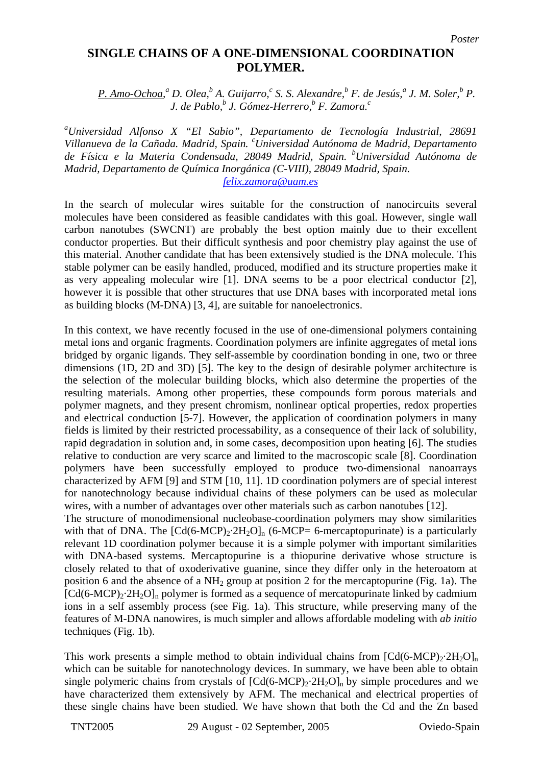## **SINGLE CHAINS OF A ONE-DIMENSIONAL COORDINATION POLYMER.**

*P. Amo-Ochoa,*<sup>*a*</sup> *D. Olea,*<sup>*b*</sup> *A. Guijarro,<sup>c</sup></sup> S. S. Alexandre,<sup><i>b*</sup> *F. de Jesús,<sup>a</sup> J. M. Soler,<sup>b</sup> P. J. de Pablo,<sup>b</sup> J. Gómez-Herrero,<sup>b</sup> F. Zamora.c*

*a Universidad Alfonso X "El Sabio", Departamento de Tecnología Industrial, 28691 Villanueva de la Cañada. Madrid, Spain. <sup>c</sup> Universidad Autónoma de Madrid, Departamento de Física e la Materia Condensada, 28049 Madrid, Spain. bUniversidad Autónoma de Madrid, Departamento de Química Inorgánica (C-VIII), 28049 Madrid, Spain.* 

*[felix.zamora@uam.es](mailto:felix.zamora@uam.es)*

In the search of molecular wires suitable for the construction of nanocircuits several molecules have been considered as feasible candidates with this goal. However, single wall carbon nanotubes (SWCNT) are probably the best option mainly due to their excellent conductor properties. But their difficult synthesis and poor chemistry play against the use of this material. Another candidate that has been extensively studied is the DNA molecule. This stable polymer can be easily handled, produced, modified and its structure properties make it as very appealing molecular wire [1]. DNA seems to be a poor electrical conductor [2], however it is possible that other structures that use DNA bases with incorporated metal ions as building blocks (M-DNA) [3, 4], are suitable for nanoelectronics.

In this context, we have recently focused in the use of one-dimensional polymers containing metal ions and organic fragments. Coordination polymers are infinite aggregates of metal ions bridged by organic ligands. They self-assemble by coordination bonding in one, two or three dimensions (1D, 2D and 3D) [5]. The key to the design of desirable polymer architecture is the selection of the molecular building blocks, which also determine the properties of the resulting materials. Among other properties, these compounds form porous materials and polymer magnets, and they present chromism, nonlinear optical properties, redox properties and electrical conduction [5-7]. However, the application of coordination polymers in many fields is limited by their restricted processability, as a consequence of their lack of solubility, rapid degradation in solution and, in some cases, decomposition upon heating [6]. The studies relative to conduction are very scarce and limited to the macroscopic scale [8]. Coordination polymers have been successfully employed to produce two-dimensional nanoarrays characterized by AFM [9] and STM [10, 11]. 1D coordination polymers are of special interest for nanotechnology because individual chains of these polymers can be used as molecular wires, with a number of advantages over other materials such as carbon nanotubes [12].

The structure of monodimensional nucleobase-coordination polymers may show similarities with that of DNA. The  $[Cd(6-MCP)<sub>2</sub>·2H<sub>2</sub>O]_n$  (6-MCP= 6-mercaptopurinate) is a particularly relevant 1D coordination polymer because it is a simple polymer with important similarities with DNA-based systems. Mercaptopurine is a thiopurine derivative whose structure is closely related to that of oxoderivative guanine, since they differ only in the heteroatom at position 6 and the absence of a  $NH_2$  group at position 2 for the mercaptopurine (Fig. 1a). The  $[Cd(6-MCP)<sub>2</sub>·2H<sub>2</sub>O]<sub>n</sub>$  polymer is formed as a sequence of mercatopurinate linked by cadmium ions in a self assembly process (see Fig. 1a). This structure, while preserving many of the features of M-DNA nanowires, is much simpler and allows affordable modeling with *ab initio* techniques (Fig. 1b).

This work presents a simple method to obtain individual chains from  $\text{[Cd}(6\text{-MCP})_2\text{-}2\text{H}_2\text{O}]_n$ which can be suitable for nanotechnology devices. In summary, we have been able to obtain single polymeric chains from crystals of  $\text{[Cd}(6\text{-MCP})_2 \cdot 2\text{H}_2\text{O}]_n$  by simple procedures and we have characterized them extensively by AFM. The mechanical and electrical properties of these single chains have been studied. We have shown that both the Cd and the Zn based